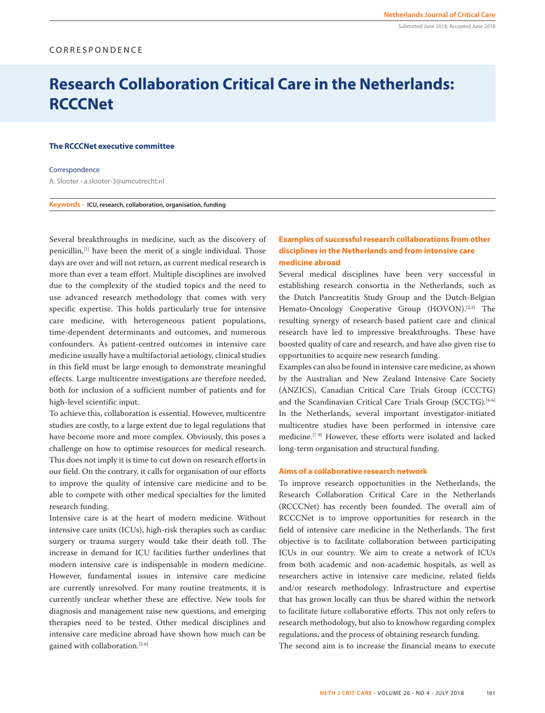## Submitted June 2018; Accepted June 2018

# CORRESPONDENCE

# **Research Collaboration Critical Care in the Netherlands: RCCCNet**

## **The RCCCNet executive committee**

## Correspondence

A. Slooter - a.slooter-3@umcutrecht.nl

**Keywords - ICU, research, collaboration, organisation, funding**

Several breakthroughs in medicine, such as the discovery of penicillin,[1] have been the merit of a single individual. Those days are over and will not return, as current medical research is more than ever a team effort. Multiple disciplines are involved due to the complexity of the studied topics and the need to use advanced research methodology that comes with very specific expertise. This holds particularly true for intensive care medicine, with heterogeneous patient populations, time-dependent determinants and outcomes, and numerous confounders. As patient-centred outcomes in intensive care medicine usually have a multifactorial aetiology, clinical studies in this field must be large enough to demonstrate meaningful effects. Large multicentre investigations are therefore needed, both for inclusion of a sufficient number of patients and for high-level scientific input.

To achieve this, collaboration is essential. However, multicentre studies are costly, to a large extent due to legal regulations that have become more and more complex. Obviously, this poses a challenge on how to optimise resources for medical research. This does not imply it is time to cut down on research efforts in our field. On the contrary, it calls for organisation of our efforts to improve the quality of intensive care medicine and to be able to compete with other medical specialties for the limited research funding.

Intensive care is at the heart of modern medicine. Without intensive care units (ICUs), high-risk therapies such as cardiac surgery or trauma surgery would take their death toll. The increase in demand for ICU facilities further underlines that modern intensive care is indispensable in modern medicine. However, fundamental issues in intensive care medicine are currently unresolved. For many routine treatments, it is currently unclear whether these are effective. New tools for diagnosis and management raise new questions, and emerging therapies need to be tested. Other medical disciplines and intensive care medicine abroad have shown how much can be gained with collaboration.[2-6]

## **Examples of successful research collaborations from other disciplines in the Netherlands and from intensive care medicine abroad**

Several medical disciplines have been very successful in establishing research consortia in the Netherlands, such as the Dutch Pancreatitis Study Group and the Dutch-Belgian Hemato-Oncology Cooperative Group (HOVON).<sup>[2,3]</sup> The resulting synergy of research-based patient care and clinical research have led to impressive breakthroughs. These have boosted quality of care and research, and have also given rise to opportunities to acquire new research funding.

Examples can also be found in intensive care medicine, as shown by the Australian and New Zealand Intensive Care Society (ANZICS), Canadian Critical Care Trials Group (CCCTG) and the Scandinavian Critical Care Trials Group (SCCTG).<sup>[4-6]</sup> In the Netherlands, several important investigator-initiated multicentre studies have been performed in intensive care medicine.[7-9] However, these efforts were isolated and lacked long-term organisation and structural funding.

## **Aims of a collaborative research network**

To improve research opportunities in the Netherlands, the Research Collaboration Critical Care in the Netherlands (RCCCNet) has recently been founded. The overall aim of RCCCNet is to improve opportunities for research in the field of intensive care medicine in the Netherlands. The first objective is to facilitate collaboration between participating ICUs in our country. We aim to create a network of ICUs from both academic and non-academic hospitals, as well as researchers active in intensive care medicine, related fields and/or research methodology. Infrastructure and expertise that has grown locally can thus be shared within the network to facilitate future collaborative efforts. This not only refers to research methodology, but also to knowhow regarding complex regulations, and the process of obtaining research funding.

The second aim is to increase the financial means to execute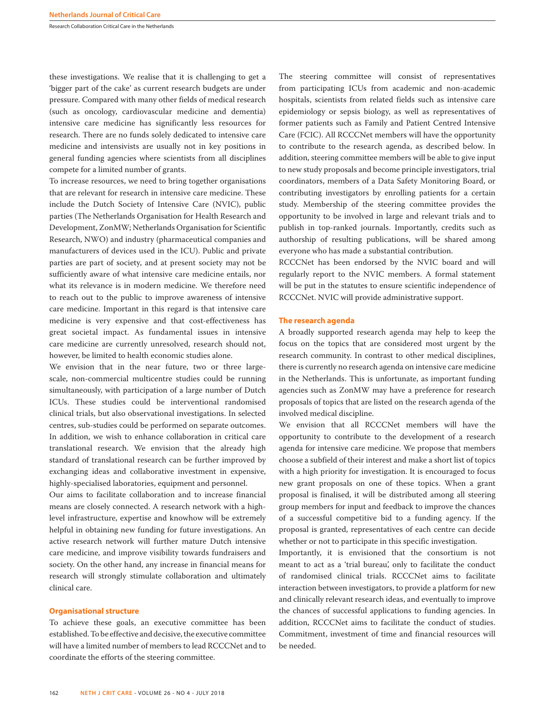Research Collaboration Critical Care in the Netherlands

these investigations. We realise that it is challenging to get a 'bigger part of the cake' as current research budgets are under pressure. Compared with many other fields of medical research (such as oncology, cardiovascular medicine and dementia) intensive care medicine has significantly less resources for research. There are no funds solely dedicated to intensive care medicine and intensivists are usually not in key positions in general funding agencies where scientists from all disciplines compete for a limited number of grants.

To increase resources, we need to bring together organisations that are relevant for research in intensive care medicine. These include the Dutch Society of Intensive Care (NVIC), public parties (The Netherlands Organisation for Health Research and Development, ZonMW; Netherlands Organisation for Scientific Research, NWO) and industry (pharmaceutical companies and manufacturers of devices used in the ICU). Public and private parties are part of society, and at present society may not be sufficiently aware of what intensive care medicine entails, nor what its relevance is in modern medicine. We therefore need to reach out to the public to improve awareness of intensive care medicine. Important in this regard is that intensive care medicine is very expensive and that cost-effectiveness has great societal impact. As fundamental issues in intensive care medicine are currently unresolved, research should not, however, be limited to health economic studies alone.

We envision that in the near future, two or three largescale, non-commercial multicentre studies could be running simultaneously, with participation of a large number of Dutch ICUs. These studies could be interventional randomised clinical trials, but also observational investigations. In selected centres, sub-studies could be performed on separate outcomes. In addition, we wish to enhance collaboration in critical care translational research. We envision that the already high standard of translational research can be further improved by exchanging ideas and collaborative investment in expensive, highly-specialised laboratories, equipment and personnel.

Our aims to facilitate collaboration and to increase financial means are closely connected. A research network with a highlevel infrastructure, expertise and knowhow will be extremely helpful in obtaining new funding for future investigations. An active research network will further mature Dutch intensive care medicine, and improve visibility towards fundraisers and society. On the other hand, any increase in financial means for research will strongly stimulate collaboration and ultimately clinical care.

## **Organisational structure**

To achieve these goals, an executive committee has been established. To be effective and decisive, the executive committee will have a limited number of members to lead RCCCNet and to coordinate the efforts of the steering committee.

The steering committee will consist of representatives from participating ICUs from academic and non-academic hospitals, scientists from related fields such as intensive care epidemiology or sepsis biology, as well as representatives of former patients such as Family and Patient Centred Intensive Care (FCIC). All RCCCNet members will have the opportunity to contribute to the research agenda, as described below. In addition, steering committee members will be able to give input to new study proposals and become principle investigators, trial coordinators, members of a Data Safety Monitoring Board, or contributing investigators by enrolling patients for a certain study. Membership of the steering committee provides the opportunity to be involved in large and relevant trials and to publish in top-ranked journals. Importantly, credits such as authorship of resulting publications, will be shared among everyone who has made a substantial contribution.

RCCCNet has been endorsed by the NVIC board and will regularly report to the NVIC members. A formal statement will be put in the statutes to ensure scientific independence of RCCCNet. NVIC will provide administrative support.

#### **The research agenda**

A broadly supported research agenda may help to keep the focus on the topics that are considered most urgent by the research community. In contrast to other medical disciplines, there is currently no research agenda on intensive care medicine in the Netherlands. This is unfortunate, as important funding agencies such as ZonMW may have a preference for research proposals of topics that are listed on the research agenda of the involved medical discipline.

We envision that all RCCCNet members will have the opportunity to contribute to the development of a research agenda for intensive care medicine. We propose that members choose a subfield of their interest and make a short list of topics with a high priority for investigation. It is encouraged to focus new grant proposals on one of these topics. When a grant proposal is finalised, it will be distributed among all steering group members for input and feedback to improve the chances of a successful competitive bid to a funding agency. If the proposal is granted, representatives of each centre can decide whether or not to participate in this specific investigation.

Importantly, it is envisioned that the consortium is not meant to act as a 'trial bureau', only to facilitate the conduct of randomised clinical trials. RCCCNet aims to facilitate interaction between investigators, to provide a platform for new and clinically relevant research ideas, and eventually to improve the chances of successful applications to funding agencies. In addition, RCCCNet aims to facilitate the conduct of studies. Commitment, investment of time and financial resources will be needed.